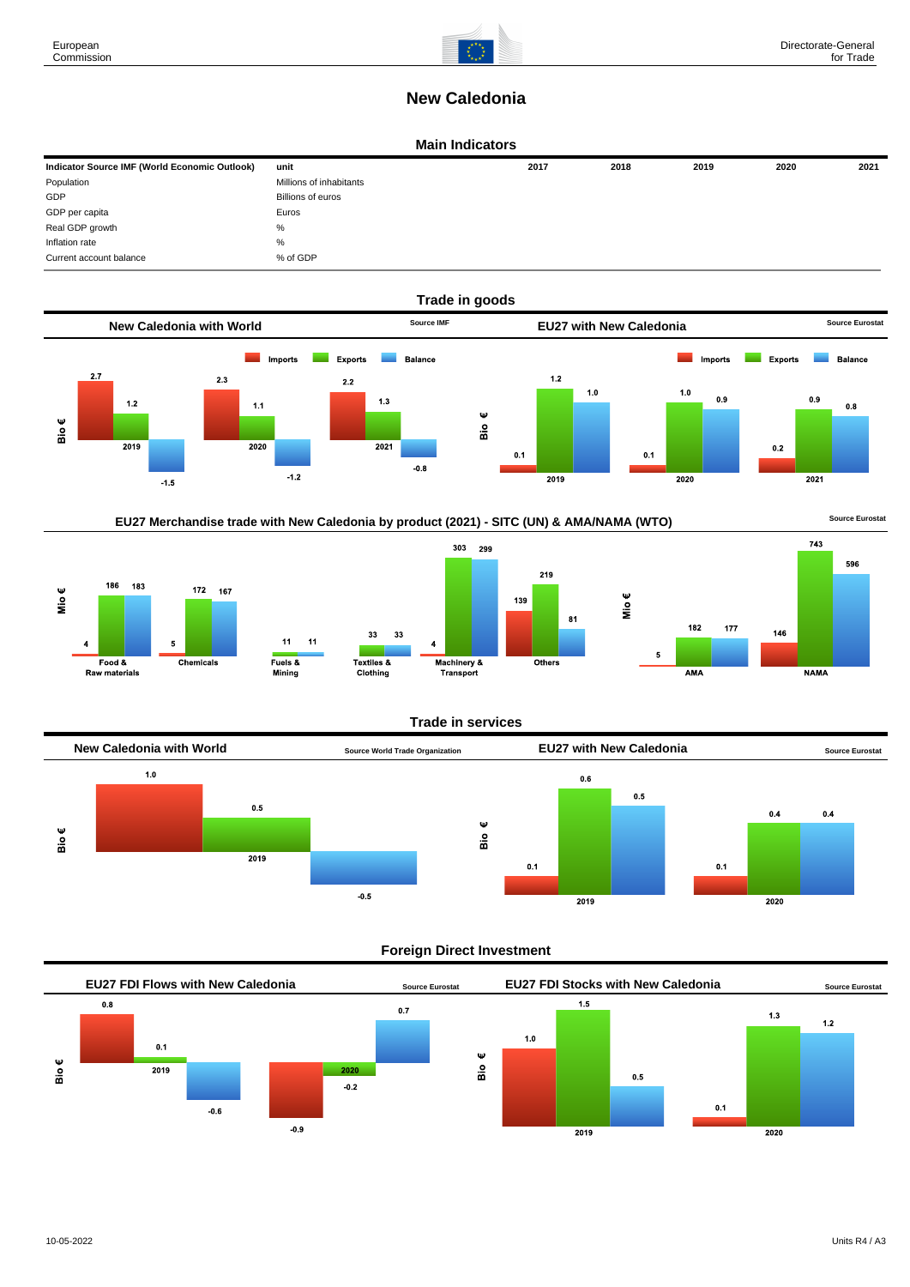

# **New Caledonia**

### **Main Indicators**

| Indicator Source IMF (World Economic Outlook) | unit                    | 2017 | 2018 | 2019 | 2020 | 2021 |
|-----------------------------------------------|-------------------------|------|------|------|------|------|
| Population                                    | Millions of inhabitants |      |      |      |      |      |
| GDP                                           | Billions of euros       |      |      |      |      |      |
| GDP per capita                                | Euros                   |      |      |      |      |      |
| Real GDP growth                               | %                       |      |      |      |      |      |
| Inflation rate                                | %                       |      |      |      |      |      |
| Current account balance                       | % of GDP                |      |      |      |      |      |





186 183 Mio $\epsilon$ 172 167  $\overline{\phantom{a}}$  $\overline{4}$ Food & Chemicals Raw materials





**Trade in services**



## **Foreign Direct Investment**